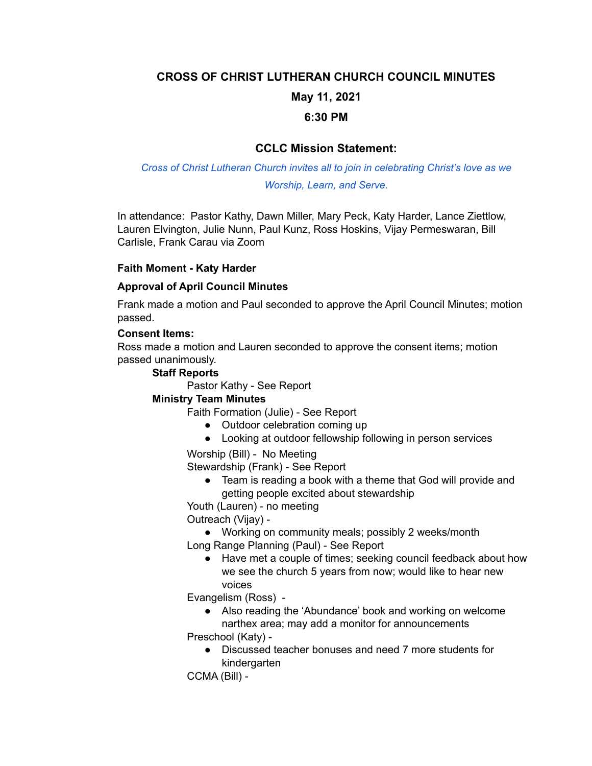## **CROSS OF CHRIST LUTHERAN CHURCH COUNCIL MINUTES**

# **May 11, 2021**

### **6:30 PM**

# **CCLC Mission Statement:**

# *Cross of Christ Lutheran Church invites all to join in celebrating Christ's love as we Worship, Learn, and Serve.*

In attendance: Pastor Kathy, Dawn Miller, Mary Peck, Katy Harder, Lance Ziettlow, Lauren Elvington, Julie Nunn, Paul Kunz, Ross Hoskins, Vijay Permeswaran, Bill Carlisle, Frank Carau via Zoom

### **Faith Moment - Katy Harder**

#### **Approval of April Council Minutes**

Frank made a motion and Paul seconded to approve the April Council Minutes; motion passed.

#### **Consent Items:**

Ross made a motion and Lauren seconded to approve the consent items; motion passed unanimously.

#### **Staff Reports**

Pastor Kathy - See Report

#### **Ministry Team Minutes**

Faith Formation (Julie) - See Report

- Outdoor celebration coming up
- Looking at outdoor fellowship following in person services

Worship (Bill) - No Meeting

Stewardship (Frank) - See Report

● Team is reading a book with a theme that God will provide and getting people excited about stewardship

Youth (Lauren) - no meeting

Outreach (Vijay) -

● Working on community meals; possibly 2 weeks/month Long Range Planning (Paul) - See Report

● Have met a couple of times; seeking council feedback about how we see the church 5 years from now; would like to hear new voices

Evangelism (Ross) -

● Also reading the 'Abundance' book and working on welcome narthex area; may add a monitor for announcements

Preschool (Katy) -

● Discussed teacher bonuses and need 7 more students for kindergarten

CCMA (Bill) -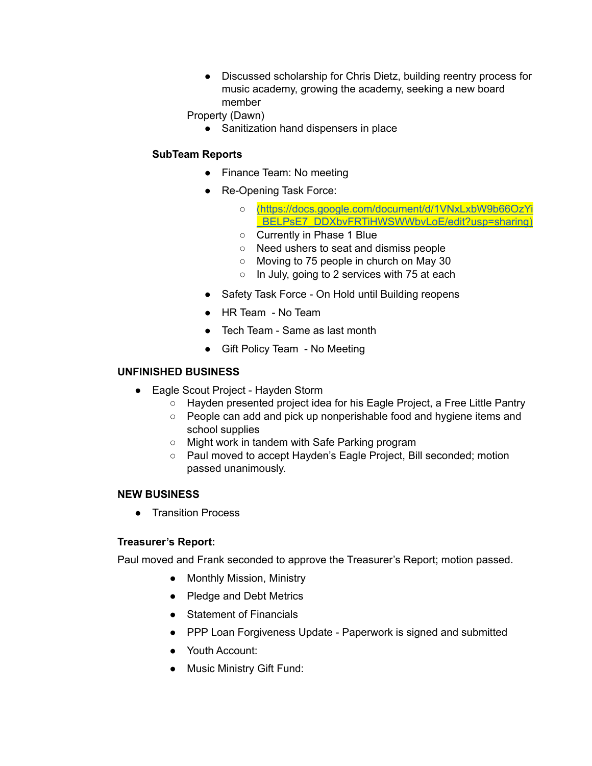● Discussed scholarship for Chris Dietz, building reentry process for music academy, growing the academy, seeking a new board member

Property (Dawn)

● Sanitization hand dispensers in place

# **SubTeam Reports**

- Finance Team: No meeting
- Re-Opening Task Force:
	- o (https://docs.google.com/document/d/1VNxLxbW9b66Oz) BELPsE7\_DDXbvFRTiHWSWWbvLoE/edit?usp=sharing)
	- Currently in Phase 1 Blue
	- Need ushers to seat and dismiss people
	- Moving to 75 people in church on May 30
	- In July, going to 2 services with 75 at each
- Safety Task Force On Hold until Building reopens
- HR Team No Team
- Tech Team Same as last month
- Gift Policy Team No Meeting

#### **UNFINISHED BUSINESS**

- Eagle Scout Project Hayden Storm
	- Hayden presented project idea for his Eagle Project, a Free Little Pantry
	- People can add and pick up nonperishable food and hygiene items and school supplies
	- Might work in tandem with Safe Parking program
	- Paul moved to accept Hayden's Eagle Project, Bill seconded; motion passed unanimously.

#### **NEW BUSINESS**

● Transition Process

#### **Treasurer's Report:**

Paul moved and Frank seconded to approve the Treasurer's Report; motion passed.

- Monthly Mission, Ministry
- Pledge and Debt Metrics
- Statement of Financials
- PPP Loan Forgiveness Update Paperwork is signed and submitted
- Youth Account:
- Music Ministry Gift Fund: